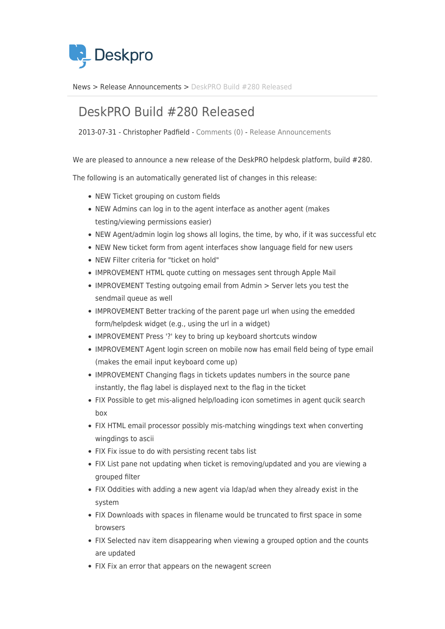

[News](https://support.deskpro.com/da/news) > [Release Announcements](https://support.deskpro.com/da/news/release-announcements) > [DeskPRO Build #280 Released](https://support.deskpro.com/da/news/posts/deskpro-build-280-released)

## DeskPRO Build #280 Released

2013-07-31 - Christopher Padfield - [Comments \(0\)](#page--1-0) - [Release Announcements](https://support.deskpro.com/da/news/release-announcements)

We are pleased to announce a new release of the DeskPRO helpdesk platform, build #280.

The following is an automatically generated list of changes in this release:

- NEW Ticket grouping on custom fields
- NEW Admins can log in to the agent interface as another agent (makes testing/viewing permissions easier)
- NEW Agent/admin login log shows all logins, the time, by who, if it was successful etc
- NEW New ticket form from agent interfaces show language field for new users
- NEW Filter criteria for "ticket on hold"
- IMPROVEMENT HTML quote cutting on messages sent through Apple Mail
- IMPROVEMENT Testing outgoing email from Admin > Server lets you test the sendmail queue as well
- IMPROVEMENT Better tracking of the parent page url when using the emedded form/helpdesk widget (e.g., using the url in a widget)
- IMPROVEMENT Press '?' key to bring up keyboard shortcuts window
- IMPROVEMENT Agent login screen on mobile now has email field being of type email (makes the email input keyboard come up)
- IMPROVEMENT Changing flags in tickets updates numbers in the source pane instantly, the flag label is displayed next to the flag in the ticket
- FIX Possible to get mis-aligned help/loading icon sometimes in agent qucik search box
- FIX HTML email processor possibly mis-matching wingdings text when converting wingdings to ascii
- FIX Fix issue to do with persisting recent tabs list
- FIX List pane not updating when ticket is removing/updated and you are viewing a grouped filter
- FIX Oddities with adding a new agent via ldap/ad when they already exist in the system
- FIX Downloads with spaces in filename would be truncated to first space in some browsers
- FIX Selected nav item disappearing when viewing a grouped option and the counts are updated
- FIX Fix an error that appears on the newagent screen